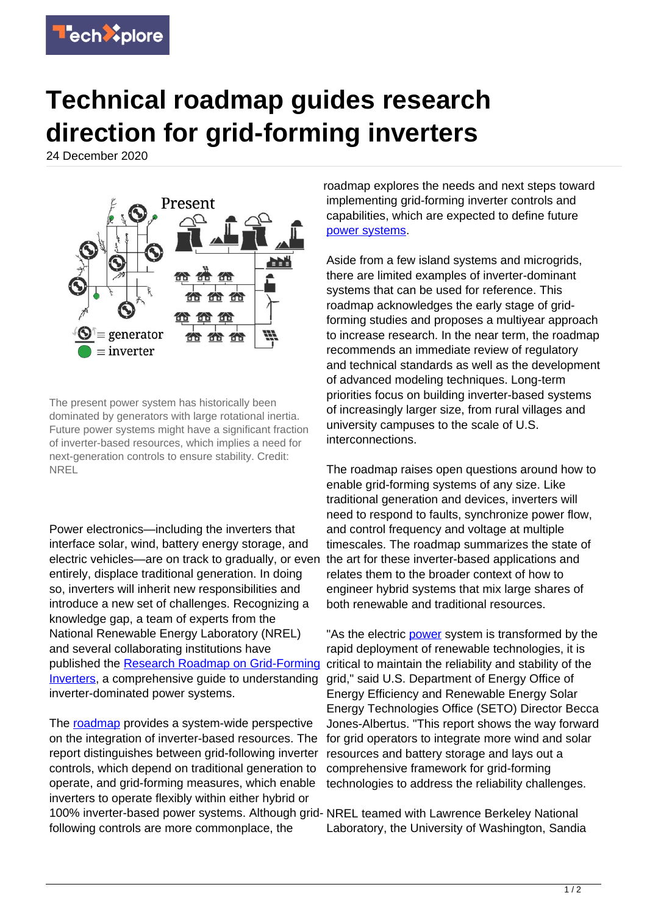

## **Technical roadmap guides research direction for grid-forming inverters**

24 December 2020



The present power system has historically been dominated by generators with large rotational inertia. Future power systems might have a significant fraction of inverter-based resources, which implies a need for next-generation controls to ensure stability. Credit: NREL

Power electronics—including the inverters that interface solar, wind, battery energy storage, and electric vehicles—are on track to gradually, or even entirely, displace traditional generation. In doing so, inverters will inherit new responsibilities and introduce a new set of challenges. Recognizing a knowledge gap, a team of experts from the National Renewable Energy Laboratory (NREL) and several collaborating institutions have published the [Research Roadmap on Grid-Forming](https://www.nrel.gov/docs/fy21osti/73476.pdf) [Inverters](https://www.nrel.gov/docs/fy21osti/73476.pdf), a comprehensive guide to understanding inverter-dominated power systems.

The [roadmap](https://techxplore.com/tags/roadmap/) provides a system-wide perspective on the integration of inverter-based resources. The report distinguishes between grid-following inverter controls, which depend on traditional generation to operate, and grid-forming measures, which enable inverters to operate flexibly within either hybrid or 100% inverter-based power systems. Although grid-NREL teamed with Lawrence Berkeley National following controls are more commonplace, the

roadmap explores the needs and next steps toward implementing grid-forming inverter controls and capabilities, which are expected to define future [power systems.](https://techxplore.com/tags/power+systems/)

Aside from a few island systems and microgrids, there are limited examples of inverter-dominant systems that can be used for reference. This roadmap acknowledges the early stage of gridforming studies and proposes a multiyear approach to increase research. In the near term, the roadmap recommends an immediate review of regulatory and technical standards as well as the development of advanced modeling techniques. Long-term priorities focus on building inverter-based systems of increasingly larger size, from rural villages and university campuses to the scale of U.S. interconnections.

The roadmap raises open questions around how to enable grid-forming systems of any size. Like traditional generation and devices, inverters will need to respond to faults, synchronize power flow, and control frequency and voltage at multiple timescales. The roadmap summarizes the state of the art for these inverter-based applications and relates them to the broader context of how to engineer hybrid systems that mix large shares of both renewable and traditional resources.

"As the electric [power](https://techxplore.com/tags/power/) system is transformed by the rapid deployment of renewable technologies, it is critical to maintain the reliability and stability of the grid," said U.S. Department of Energy Office of Energy Efficiency and Renewable Energy Solar Energy Technologies Office (SETO) Director Becca Jones-Albertus. "This report shows the way forward for grid operators to integrate more wind and solar resources and battery storage and lays out a comprehensive framework for grid-forming technologies to address the reliability challenges.

Laboratory, the University of Washington, Sandia